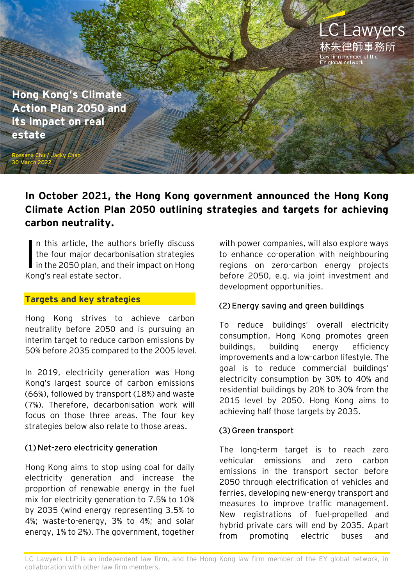

**Hong Kong's Climate Action Plan 2050 and its impact on real estate**

[Rossana Chu](https://www.eylaw.com.hk/en_hk/people/rossana-chu) / [Jacky Chan](https://www.eylaw.com.hk/en_hk/people/jacky-chan)

30 March 2022

# **In October 2021, the Hong Kong government announced the Hong Kong Climate Action Plan 2050 outlining strategies and targets for achieving carbon neutrality.**

n this article, the authors briefly discuss the four major decarbonisation strategies In this article, the authors briefly discuss<br>the four major decarbonisation strategies<br>in the 2050 plan, and their impact on Hong Kong's real estate sector.

### **Targets and key strategies**

Hong Kong strives to achieve carbon neutrality before 2050 and is pursuing an interim target to reduce carbon emissions by 50% before 2035 compared to the 2005 level.

In 2019, electricity generation was Hong Kong's largest source of carbon emissions (66%), followed by transport (18%) and waste (7%). Therefore, decarbonisation work will focus on those three areas. The four key strategies below also relate to those areas.

# **(1) Net-zero electricity generation**

Hong Kong aims to stop using coal for daily electricity generation and increase the proportion of renewable energy in the fuel mix for electricity generation to 7.5% to 10% by 2035 (wind energy representing 3.5% to 4%; waste-to-energy, 3% to 4%; and solar energy, 1% to 2%). The government, together with power companies, will also explore ways to enhance co-operation with neighbouring regions on zero-carbon energy projects before 2050, e.g. via joint investment and development opportunities.

# **(2) Energy saving and green buildings**

To reduce buildings' overall electricity consumption, Hong Kong promotes green buildings, building energy efficiency improvements and a low-carbon lifestyle. The goal is to reduce commercial buildings' electricity consumption by 30% to 40% and residential buildings by 20% to 30% from the 2015 level by 2050. Hong Kong aims to achieving half those targets by 2035.

# **(3) Green transport**

The long-term target is to reach zero vehicular emissions and zero carbon emissions in the transport sector before 2050 through electrification of vehicles and ferries, developing new-energy transport and measures to improve traffic management. New registrations of fuel-propelled and hybrid private cars will end by 2035. Apart from promoting electric buses and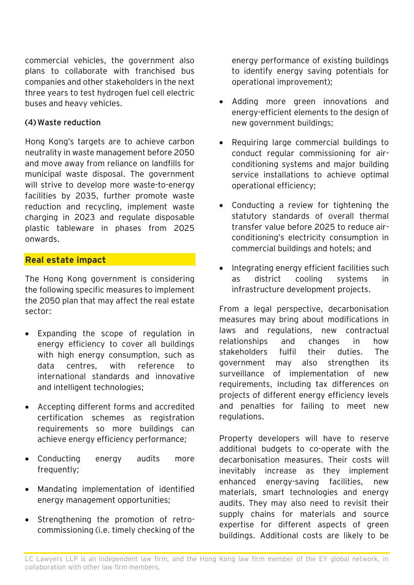commercial vehicles, the government also plans to collaborate with franchised bus companies and other stakeholders in the next three years to test hydrogen fuel cell electric buses and heavy vehicles.

### **(4) Waste reduction**

Hong Kong's targets are to achieve carbon neutrality in waste management before 2050 and move away from reliance on landfills for municipal waste disposal. The government will strive to develop more waste-to-energy facilities by 2035, further promote waste reduction and recycling, implement waste charging in 2023 and regulate disposable plastic tableware in phases from 2025 onwards.

### **Real estate impact**

The Hong Kong government is considering the following specific measures to implement the 2050 plan that may affect the real estate sector:

- Expanding the scope of regulation in energy efficiency to cover all buildings with high energy consumption, such as data centres, with reference to international standards and innovative and intelligent technologies;
- Accepting different forms and accredited certification schemes as registration requirements so more buildings can achieve energy efficiency performance;
- Conducting energy audits more frequently;
- Mandating implementation of identified energy management opportunities;
- Strengthening the promotion of retrocommissioning (i.e. timely checking of the

energy performance of existing buildings to identify energy saving potentials for operational improvement);

- Adding more green innovations and energy-efficient elements to the design of new government buildings;
- Requiring large commercial buildings to conduct regular commissioning for airconditioning systems and major building service installations to achieve optimal operational efficiency;
- Conducting a review for tightening the statutory standards of overall thermal transfer value before 2025 to reduce airconditioning's electricity consumption in commercial buildings and hotels; and
- Integrating energy efficient facilities such as district cooling systems in infrastructure development projects.

From a legal perspective, decarbonisation measures may bring about modifications in laws and regulations, new contractual relationships and changes in how stakeholders fulfil their duties. The government may also strengthen its surveillance of implementation of new requirements, including tax differences on projects of different energy efficiency levels and penalties for failing to meet new regulations.

Property developers will have to reserve additional budgets to co-operate with the decarbonisation measures. Their costs will inevitably increase as they implement enhanced energy-saving facilities, new materials, smart technologies and energy audits. They may also need to revisit their supply chains for materials and source expertise for different aspects of green buildings. Additional costs are likely to be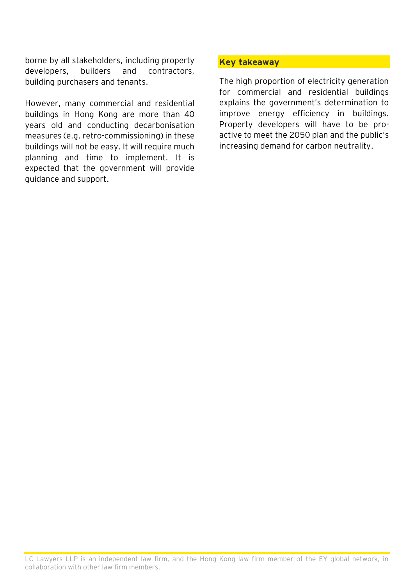borne by all stakeholders, including property developers, builders and contractors, building purchasers and tenants.

However, many commercial and residential buildings in Hong Kong are more than 40 years old and conducting decarbonisation measures (e.g. retro-commissioning) in these buildings will not be easy. It will require much planning and time to implement. It is expected that the government will provide guidance and support.

#### **Key takeaway**

The high proportion of electricity generation for commercial and residential buildings explains the government's determination to improve energy efficiency in buildings. Property developers will have to be proactive to meet the 2050 plan and the public's increasing demand for carbon neutrality.

LC Lawyers LLP is an independent law firm, and the Hong Kong law firm member of the EY global network, in collaboration with other law firm members.